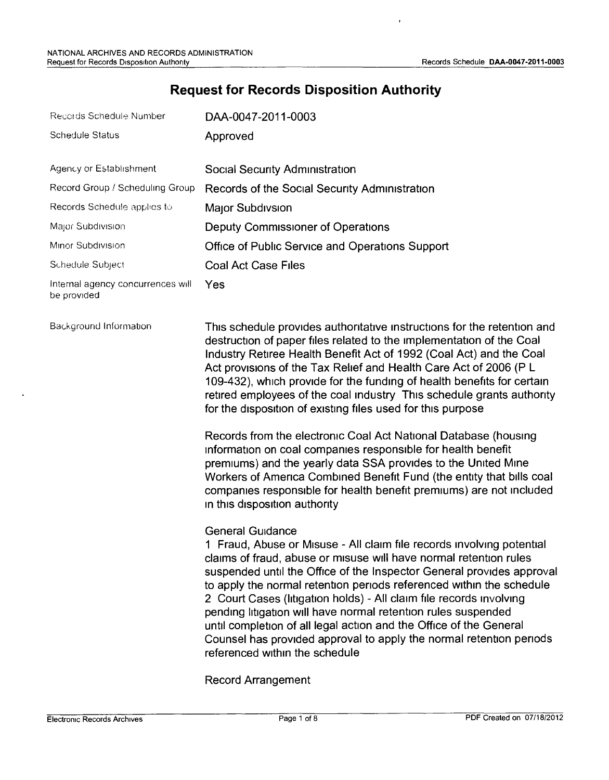# **Request for Records Disposition Authority**

| Records Schedule Number                                    | DAA-0047-2011-0003                                                                                                                                                                                                                                                                                                                                                                                                                                                                                                                                                                                                                                                                                                                                                                                                                                                                                                                                                                                                                                                                                                                                                                                                                                                                                                                                                                                                                                                                                                                                |
|------------------------------------------------------------|---------------------------------------------------------------------------------------------------------------------------------------------------------------------------------------------------------------------------------------------------------------------------------------------------------------------------------------------------------------------------------------------------------------------------------------------------------------------------------------------------------------------------------------------------------------------------------------------------------------------------------------------------------------------------------------------------------------------------------------------------------------------------------------------------------------------------------------------------------------------------------------------------------------------------------------------------------------------------------------------------------------------------------------------------------------------------------------------------------------------------------------------------------------------------------------------------------------------------------------------------------------------------------------------------------------------------------------------------------------------------------------------------------------------------------------------------------------------------------------------------------------------------------------------------|
| Schedule Status                                            | Approved                                                                                                                                                                                                                                                                                                                                                                                                                                                                                                                                                                                                                                                                                                                                                                                                                                                                                                                                                                                                                                                                                                                                                                                                                                                                                                                                                                                                                                                                                                                                          |
| Agency or Establishment<br>Record Group / Scheduling Group | Social Security Administration<br>Records of the Social Security Administration                                                                                                                                                                                                                                                                                                                                                                                                                                                                                                                                                                                                                                                                                                                                                                                                                                                                                                                                                                                                                                                                                                                                                                                                                                                                                                                                                                                                                                                                   |
| Records Schedule applies to                                | Major Subdivsion                                                                                                                                                                                                                                                                                                                                                                                                                                                                                                                                                                                                                                                                                                                                                                                                                                                                                                                                                                                                                                                                                                                                                                                                                                                                                                                                                                                                                                                                                                                                  |
| Major Subdivision                                          | Deputy Commissioner of Operations                                                                                                                                                                                                                                                                                                                                                                                                                                                                                                                                                                                                                                                                                                                                                                                                                                                                                                                                                                                                                                                                                                                                                                                                                                                                                                                                                                                                                                                                                                                 |
| Minor Subdivision                                          | Office of Public Service and Operations Support                                                                                                                                                                                                                                                                                                                                                                                                                                                                                                                                                                                                                                                                                                                                                                                                                                                                                                                                                                                                                                                                                                                                                                                                                                                                                                                                                                                                                                                                                                   |
| Schedule Subject                                           | <b>Coal Act Case Files</b>                                                                                                                                                                                                                                                                                                                                                                                                                                                                                                                                                                                                                                                                                                                                                                                                                                                                                                                                                                                                                                                                                                                                                                                                                                                                                                                                                                                                                                                                                                                        |
| Internal agency concurrences will<br>be provided           | Yes                                                                                                                                                                                                                                                                                                                                                                                                                                                                                                                                                                                                                                                                                                                                                                                                                                                                                                                                                                                                                                                                                                                                                                                                                                                                                                                                                                                                                                                                                                                                               |
| Background Information                                     | This schedule provides authoritative instructions for the retention and<br>destruction of paper files related to the implementation of the Coal<br>Industry Retiree Health Benefit Act of 1992 (Coal Act) and the Coal<br>Act provisions of the Tax Relief and Health Care Act of 2006 (P L<br>109-432), which provide for the funding of health benefits for certain<br>retired employees of the coal industry This schedule grants authority<br>for the disposition of existing files used for this purpose<br>Records from the electronic Coal Act National Database (housing<br>information on coal companies responsible for health benefit<br>premiums) and the yearly data SSA provides to the United Mine<br>Workers of America Combined Benefit Fund (the entity that bills coal<br>companies responsible for health benefit premiums) are not included<br>in this disposition authority<br><b>General Guidance</b><br>1 Fraud, Abuse or Misuse - All claim file records involving potential<br>claims of fraud, abuse or misuse will have normal retention rules<br>suspended until the Office of the Inspector General provides approva<br>to apply the normal retention periods referenced within the schedule<br>2 Court Cases (litigation holds) - All claim file records involving<br>pending litigation will have normal retention rules suspended<br>until completion of all legal action and the Office of the General<br>Counsel has provided approval to apply the normal retention periods<br>referenced within the schedule |
|                                                            |                                                                                                                                                                                                                                                                                                                                                                                                                                                                                                                                                                                                                                                                                                                                                                                                                                                                                                                                                                                                                                                                                                                                                                                                                                                                                                                                                                                                                                                                                                                                                   |
|                                                            |                                                                                                                                                                                                                                                                                                                                                                                                                                                                                                                                                                                                                                                                                                                                                                                                                                                                                                                                                                                                                                                                                                                                                                                                                                                                                                                                                                                                                                                                                                                                                   |

Record Arrangement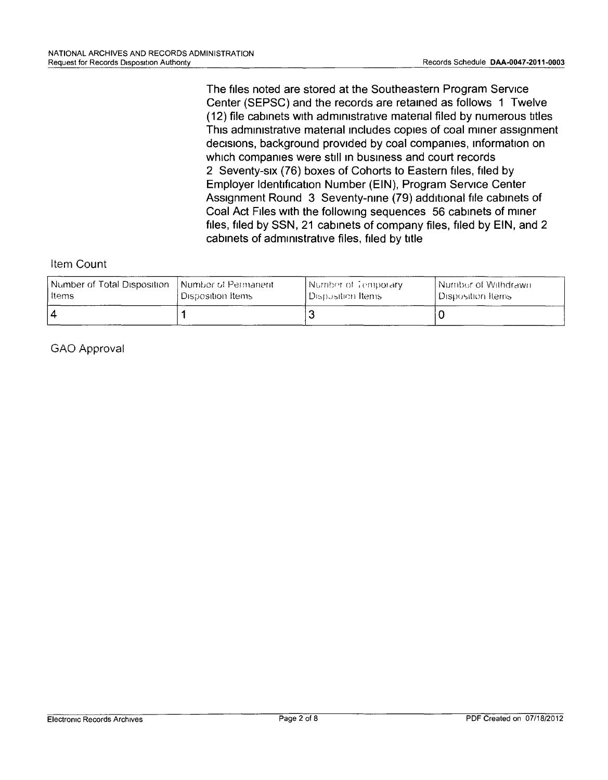**The files noted are stored at the Southeastern Program Service Center (SEPSC) and the records are retained as follows 1 Twelve (12) file cabinets With administrative** rnatenal **filed by numerous titles** Thrs **administrative** rnatenal **Includes copies of coal miner assignment** decisions, **background** provided **by coal companies, information on which companies were stili In business and court records 2** Seventy-six **(76) boxes of Cohorts to Eastern files, filed by Employer Identification Number (EIN), Program Service Center Assignment Round 3** Seventy-rime **(79) additional file cabinets of Coal Act Files With the following sequences 56 cabinets of miner files, filed by SSN, 21 cabinets of company files, filed by EIN, and 2 cabinets of administrative files, filed by title**

#### Item **Count**

| Number of Total Disposition | l Number of Permanent. | Number of Temporary   | Number of Withdrawn |
|-----------------------------|------------------------|-----------------------|---------------------|
| <b>Items</b>                | ⊑Disposition Items⊺    | l Disposition Items . | Disposition Items   |
|                             |                        |                       |                     |

GAO Approval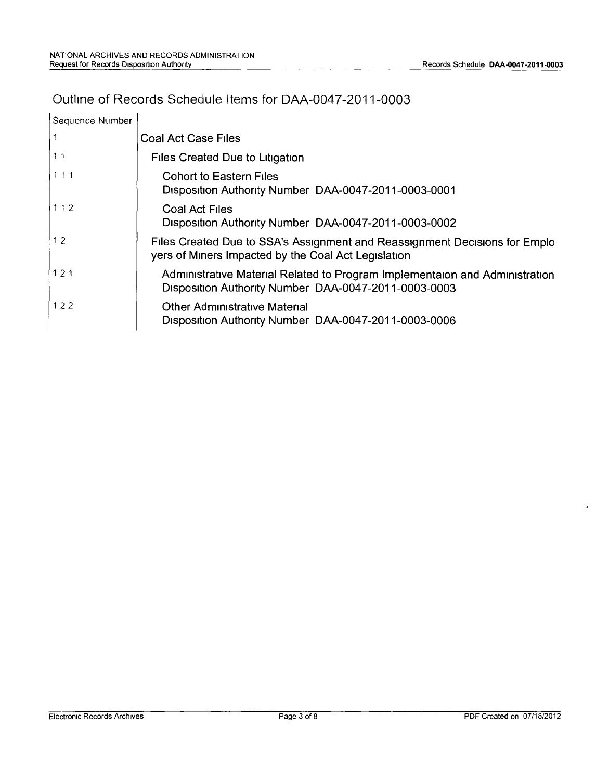#### Outline of Records Schedule Items for DAA-0047-2011-0003

| Sequence Number |                                                                                                                                     |
|-----------------|-------------------------------------------------------------------------------------------------------------------------------------|
|                 | <b>Coal Act Case Files</b>                                                                                                          |
| 11              | <b>Files Created Due to Litigation</b>                                                                                              |
| 111             | <b>Cohort to Eastern Files</b><br>Disposition Authority Number DAA-0047-2011-0003-0001                                              |
| 112             | <b>Coal Act Files</b><br>Disposition Authority Number DAA-0047-2011-0003-0002                                                       |
| 12              | Files Created Due to SSA's Assignment and Reassignment Decisions for Emplo<br>yers of Miners Impacted by the Coal Act Legislation   |
| 1121            | Administrative Material Related to Program Implementaion and Administration<br>Disposition Authority Number DAA-0047-2011-0003-0003 |
| 122             | <b>Other Administrative Material</b><br>Disposition Authority Number DAA-0047-2011-0003-0006                                        |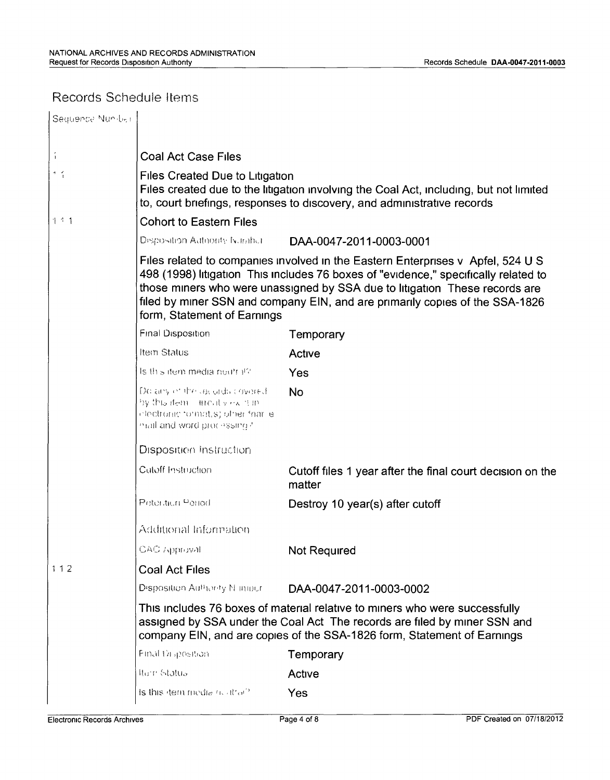### Records Schedule Items

| Sequence Nun-ber       |                                                                                                                                                                                                                                                                                                                                                                      |                                                                     |  |
|------------------------|----------------------------------------------------------------------------------------------------------------------------------------------------------------------------------------------------------------------------------------------------------------------------------------------------------------------------------------------------------------------|---------------------------------------------------------------------|--|
|                        |                                                                                                                                                                                                                                                                                                                                                                      |                                                                     |  |
| $\mathfrak i$          | <b>Coal Act Case Files</b>                                                                                                                                                                                                                                                                                                                                           |                                                                     |  |
| $\sigma = \frac{2}{3}$ | Files Created Due to Litigation<br>Files created due to the litigation involving the Coal Act, including, but not limited<br>to, court briefings, responses to discovery, and administrative records                                                                                                                                                                 |                                                                     |  |
| 111                    | <b>Cohort to Eastern Files</b>                                                                                                                                                                                                                                                                                                                                       |                                                                     |  |
|                        | Disposition Autoority Number                                                                                                                                                                                                                                                                                                                                         | DAA-0047-2011-0003-0001                                             |  |
|                        | Files related to companies involved in the Eastern Enterprises v Apfel, 524 U S<br>498 (1998) litigation This includes 76 boxes of "evidence," specifically related to<br>those miners who were unassigned by SSA due to litigation These records are<br>filed by miner SSN and company EIN, and are primarily copies of the SSA-1826<br>form, Statement of Earnings |                                                                     |  |
|                        | <b>Final Disposition</b>                                                                                                                                                                                                                                                                                                                                             | Temporary                                                           |  |
|                        | Item Status                                                                                                                                                                                                                                                                                                                                                          | Active                                                              |  |
|                        | Is this item media neurral?                                                                                                                                                                                                                                                                                                                                          | Yes                                                                 |  |
|                        | Do any of the lacads covered<br>by this dem annul view it in<br>clectronic formatis) other friarile<br>mail and word processing?                                                                                                                                                                                                                                     | <b>No</b>                                                           |  |
|                        | Disposition Instruction                                                                                                                                                                                                                                                                                                                                              |                                                                     |  |
|                        | Cutoff Instruction                                                                                                                                                                                                                                                                                                                                                   | Cutoff files 1 year after the final court decision on the<br>matter |  |
|                        | Peteraturi Period                                                                                                                                                                                                                                                                                                                                                    | Destroy 10 year(s) after cutoff                                     |  |
|                        | Additional Information                                                                                                                                                                                                                                                                                                                                               |                                                                     |  |
|                        | CAC Approval                                                                                                                                                                                                                                                                                                                                                         | Not Required                                                        |  |
| 112                    | <b>Coal Act Files</b>                                                                                                                                                                                                                                                                                                                                                |                                                                     |  |
|                        | Disposition Authority N impur-                                                                                                                                                                                                                                                                                                                                       | DAA-0047-2011-0003-0002                                             |  |
|                        | This includes 76 boxes of material relative to miners who were successfully<br>assigned by SSA under the Coal Act The records are filed by miner SSN and<br>company EIN, and are copies of the SSA-1826 form, Statement of Earnings                                                                                                                                  |                                                                     |  |
|                        | Final Draposition                                                                                                                                                                                                                                                                                                                                                    | Temporary                                                           |  |
|                        | Item Status                                                                                                                                                                                                                                                                                                                                                          | Active                                                              |  |
|                        | is this dem media no itrat?                                                                                                                                                                                                                                                                                                                                          | <b>Yes</b>                                                          |  |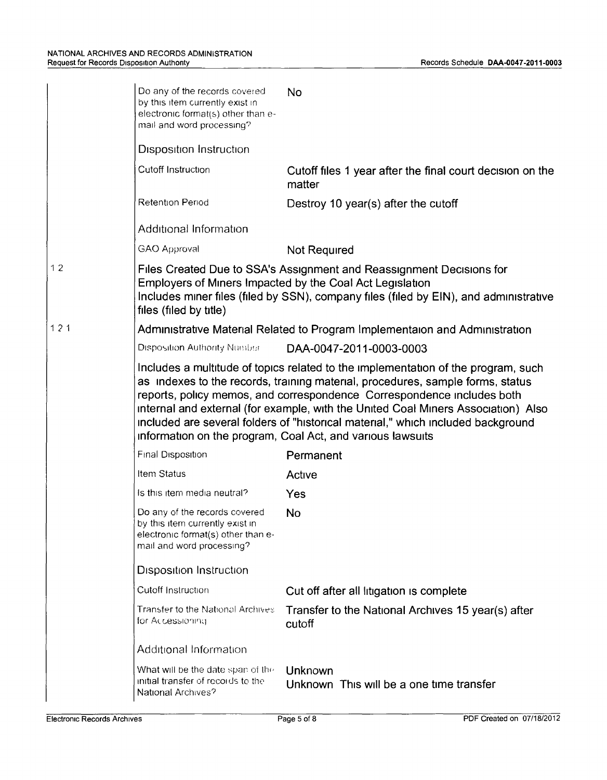|     | Do any of the records covered<br>by this item currently exist in<br>electronic format(s) other than e-<br>mail and word processing?                                                                                                                                                                                                                                                                                                                                                  | No                                                                                                                                                                                                                        |  |
|-----|--------------------------------------------------------------------------------------------------------------------------------------------------------------------------------------------------------------------------------------------------------------------------------------------------------------------------------------------------------------------------------------------------------------------------------------------------------------------------------------|---------------------------------------------------------------------------------------------------------------------------------------------------------------------------------------------------------------------------|--|
|     | <b>Disposition Instruction</b>                                                                                                                                                                                                                                                                                                                                                                                                                                                       |                                                                                                                                                                                                                           |  |
|     | Cutoff Instruction                                                                                                                                                                                                                                                                                                                                                                                                                                                                   | Cutoff files 1 year after the final court decision on the<br>matter                                                                                                                                                       |  |
|     | <b>Retention Period</b>                                                                                                                                                                                                                                                                                                                                                                                                                                                              | Destroy 10 year(s) after the cutoff                                                                                                                                                                                       |  |
|     | Additional Information                                                                                                                                                                                                                                                                                                                                                                                                                                                               |                                                                                                                                                                                                                           |  |
|     | <b>GAO Approval</b>                                                                                                                                                                                                                                                                                                                                                                                                                                                                  | Not Required                                                                                                                                                                                                              |  |
| 12  | files (filed by title)                                                                                                                                                                                                                                                                                                                                                                                                                                                               | Files Created Due to SSA's Assignment and Reassignment Decisions for<br>Employers of Miners Impacted by the Coal Act Legislation<br>Includes miner files (filed by SSN), company files (filed by EIN), and administrative |  |
| 121 |                                                                                                                                                                                                                                                                                                                                                                                                                                                                                      | Administrative Material Related to Program Implementaion and Administration                                                                                                                                               |  |
|     | <b>Disposition Authority Number</b>                                                                                                                                                                                                                                                                                                                                                                                                                                                  | DAA-0047-2011-0003-0003                                                                                                                                                                                                   |  |
|     | Includes a multitude of topics related to the implementation of the program, such<br>as indexes to the records, training material, procedures, sample forms, status<br>reports, policy memos, and correspondence Correspondence includes both<br>internal and external (for example, with the United Coal Miners Association) Also<br>included are several folders of "historical material," which included background<br>information on the program, Coal Act, and various lawsuits |                                                                                                                                                                                                                           |  |
|     | Final Disposition                                                                                                                                                                                                                                                                                                                                                                                                                                                                    | Permanent                                                                                                                                                                                                                 |  |
|     | Item Status                                                                                                                                                                                                                                                                                                                                                                                                                                                                          | Active                                                                                                                                                                                                                    |  |
|     | Is this item media neutral?                                                                                                                                                                                                                                                                                                                                                                                                                                                          | Yes                                                                                                                                                                                                                       |  |
|     | Do any of the records covered<br>by this item currently exist in<br>electronic format(s) other than e-<br>mail and word processing?                                                                                                                                                                                                                                                                                                                                                  | No                                                                                                                                                                                                                        |  |
|     | <b>Disposition Instruction</b>                                                                                                                                                                                                                                                                                                                                                                                                                                                       |                                                                                                                                                                                                                           |  |
|     | Cutoff Instruction                                                                                                                                                                                                                                                                                                                                                                                                                                                                   | Cut off after all litigation is complete                                                                                                                                                                                  |  |
|     | <b>Transfer to the National Archives</b><br>for Accessioning                                                                                                                                                                                                                                                                                                                                                                                                                         | Transfer to the National Archives 15 year(s) after<br>cutoff                                                                                                                                                              |  |
|     | Additional Information                                                                                                                                                                                                                                                                                                                                                                                                                                                               |                                                                                                                                                                                                                           |  |
|     | What will be the date span of the<br>initial transfer of records to the<br>National Archives?                                                                                                                                                                                                                                                                                                                                                                                        | Unknown<br>Unknown This will be a one time transfer                                                                                                                                                                       |  |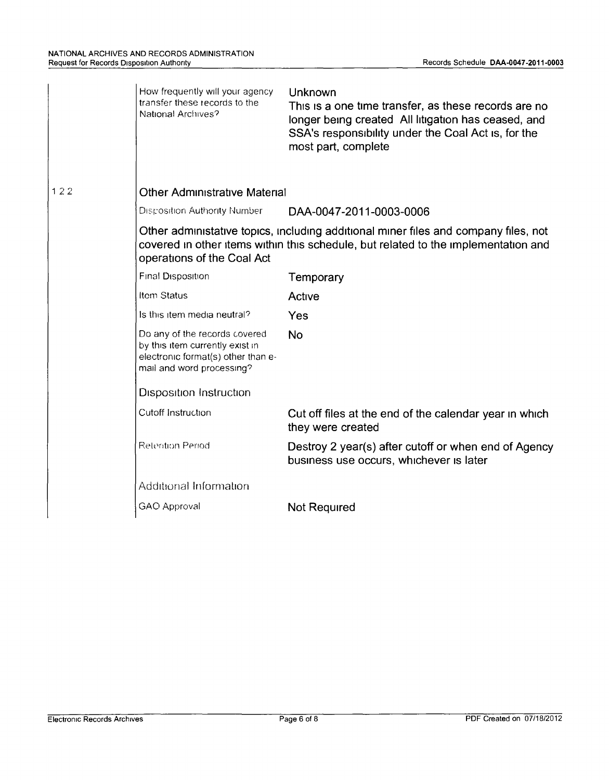|     | How frequently will your agency<br>transfer these records to the<br>National Archives?                                                                                                                  | Unknown<br>This is a one time transfer, as these records are no<br>longer being created All litigation has ceased, and<br>SSA's responsibility under the Coal Act is, for the<br>most part, complete |  |  |
|-----|---------------------------------------------------------------------------------------------------------------------------------------------------------------------------------------------------------|------------------------------------------------------------------------------------------------------------------------------------------------------------------------------------------------------|--|--|
| 122 | <b>Other Administrative Material</b>                                                                                                                                                                    |                                                                                                                                                                                                      |  |  |
|     | <b>Disposition Authority Number</b>                                                                                                                                                                     | DAA-0047-2011-0003-0006                                                                                                                                                                              |  |  |
|     | Other administative topics, including additional miner files and company files, not<br>covered in other items within this schedule, but related to the implementation and<br>operations of the Coal Act |                                                                                                                                                                                                      |  |  |
|     | <b>Final Disposition</b>                                                                                                                                                                                | Temporary                                                                                                                                                                                            |  |  |
|     | Item Status                                                                                                                                                                                             | Active                                                                                                                                                                                               |  |  |
|     | Is this item media neutral?                                                                                                                                                                             | Yes                                                                                                                                                                                                  |  |  |
|     | Do any of the records covered<br>by this item currently exist in<br>electronic format(s) other than e-<br>mail and word processing?                                                                     | <b>No</b>                                                                                                                                                                                            |  |  |
|     | <b>Disposition Instruction</b>                                                                                                                                                                          |                                                                                                                                                                                                      |  |  |
|     | Cutoff Instruction                                                                                                                                                                                      | Cut off files at the end of the calendar year in which<br>they were created                                                                                                                          |  |  |
|     | <b>Retention Period</b>                                                                                                                                                                                 | Destroy 2 year(s) after cutoff or when end of Agency<br>business use occurs, whichever is later                                                                                                      |  |  |
|     | Additional Information                                                                                                                                                                                  |                                                                                                                                                                                                      |  |  |
|     | <b>GAO Approval</b>                                                                                                                                                                                     | Not Required                                                                                                                                                                                         |  |  |